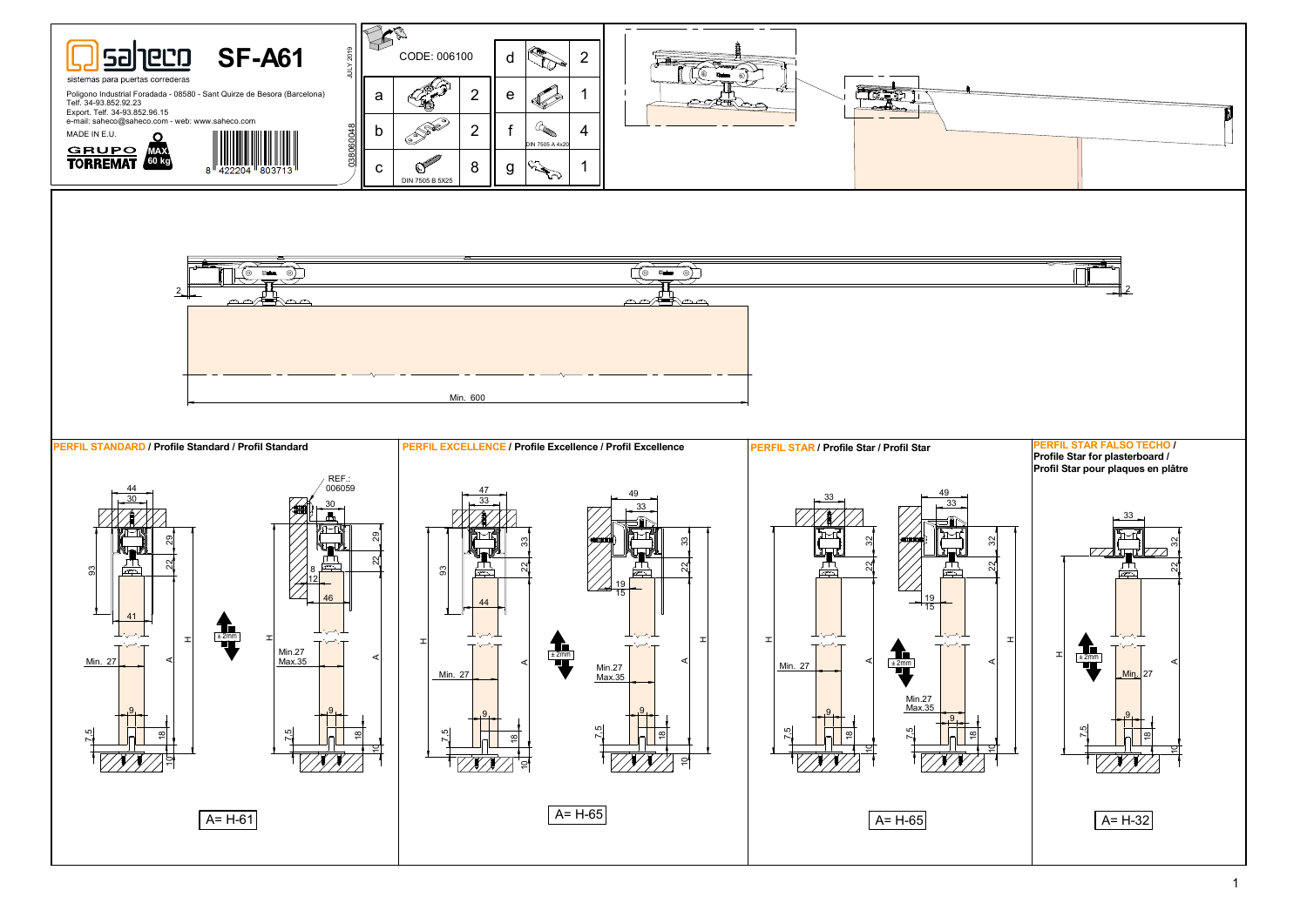